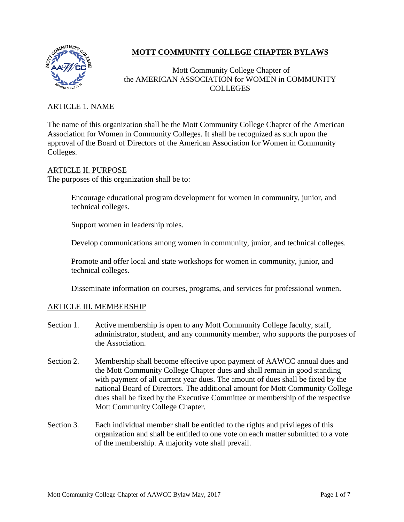

# **MOTT COMMUNITY COLLEGE CHAPTER BYLAWS**

# Mott Community College Chapter of the AMERICAN ASSOCIATION for WOMEN in COMMUNITY **COLLEGES**

# ARTICLE 1. NAME

The name of this organization shall be the Mott Community College Chapter of the American Association for Women in Community Colleges. It shall be recognized as such upon the approval of the Board of Directors of the American Association for Women in Community Colleges.

## ARTICLE II. PURPOSE

The purposes of this organization shall be to:

Encourage educational program development for women in community, junior, and technical colleges.

Support women in leadership roles.

Develop communications among women in community, junior, and technical colleges.

Promote and offer local and state workshops for women in community, junior, and technical colleges.

Disseminate information on courses, programs, and services for professional women.

## ARTICLE III. MEMBERSHIP

- Section 1. Active membership is open to any Mott Community College faculty, staff, administrator, student, and any community member, who supports the purposes of the Association.
- Section 2. Membership shall become effective upon payment of AAWCC annual dues and the Mott Community College Chapter dues and shall remain in good standing with payment of all current year dues. The amount of dues shall be fixed by the national Board of Directors. The additional amount for Mott Community College dues shall be fixed by the Executive Committee or membership of the respective Mott Community College Chapter*.*
- Section 3. Each individual member shall be entitled to the rights and privileges of this organization and shall be entitled to one vote on each matter submitted to a vote of the membership. A majority vote shall prevail.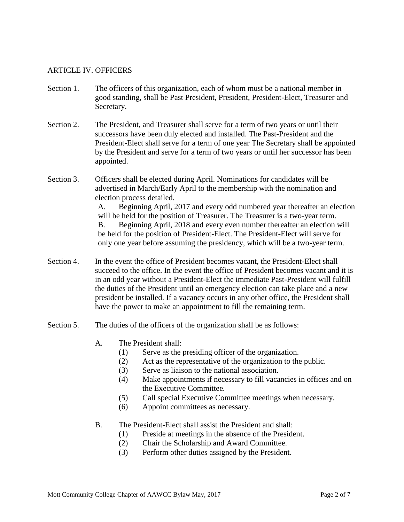## ARTICLE IV. OFFICERS

- Section 1. The officers of this organization, each of whom must be a national member in good standing, shall be Past President, President, President-Elect, Treasurer and Secretary.
- Section 2. The President, and Treasurer shall serve for a term of two years or until their successors have been duly elected and installed. The Past-President and the President-Elect shall serve for a term of one year The Secretary shall be appointed by the President and serve for a term of two years or until her successor has been appointed.
- Section 3. Officers shall be elected during April. Nominations for candidates will be advertised in March/Early April to the membership with the nomination and election process detailed.

A. Beginning April, 2017 and every odd numbered year thereafter an election will be held for the position of Treasurer. The Treasurer is a two-year term. B. Beginning April, 2018 and every even number thereafter an election will be held for the position of President-Elect. The President-Elect will serve for only one year before assuming the presidency, which will be a two-year term.

- Section 4. In the event the office of President becomes vacant, the President-Elect shall succeed to the office. In the event the office of President becomes vacant and it is in an odd year without a President-Elect the immediate Past-President will fulfill the duties of the President until an emergency election can take place and a new president be installed. If a vacancy occurs in any other office, the President shall have the power to make an appointment to fill the remaining term.
- Section 5. The duties of the officers of the organization shall be as follows:
	- A. The President shall:
		- (1) Serve as the presiding officer of the organization.
		- (2) Act as the representative of the organization to the public.
		- (3) Serve as liaison to the national association.
		- (4) Make appointments if necessary to fill vacancies in offices and on the Executive Committee.
		- (5) Call special Executive Committee meetings when necessary.
		- (6) Appoint committees as necessary.
	- B. The President-Elect shall assist the President and shall:
		- (1) Preside at meetings in the absence of the President.
		- (2) Chair the Scholarship and Award Committee.
		- (3) Perform other duties assigned by the President.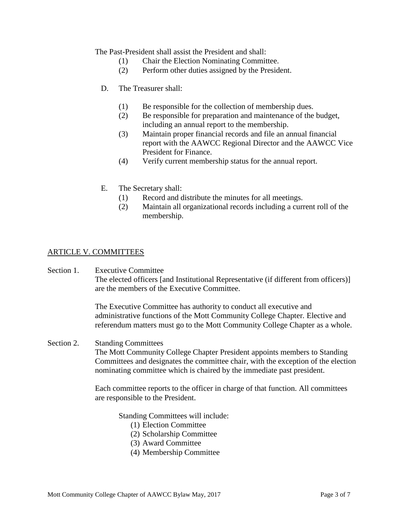The Past-President shall assist the President and shall:

- (1) Chair the Election Nominating Committee.
- (2) Perform other duties assigned by the President.
- D. The Treasurer shall:
	- (1) Be responsible for the collection of membership dues.
	- (2) Be responsible for preparation and maintenance of the budget, including an annual report to the membership.
	- (3) Maintain proper financial records and file an annual financial report with the AAWCC Regional Director and the AAWCC Vice President for Finance.
	- (4) Verify current membership status for the annual report.
- E. The Secretary shall:
	- (1) Record and distribute the minutes for all meetings.
	- (2) Maintain all organizational records including a current roll of the membership.

# ARTICLE V. COMMITTEES

Section 1. Executive Committee The elected officers [and Institutional Representative (if different from officers)] are the members of the Executive Committee.

> The Executive Committee has authority to conduct all executive and administrative functions of the Mott Community College Chapter*.* Elective and referendum matters must go to the Mott Community College Chapter as a whole.

Section 2. Standing Committees

The Mott Community College Chapter President appoints members to Standing Committees and designates the committee chair, with the exception of the election nominating committee which is chaired by the immediate past president.

Each committee reports to the officer in charge of that function. All committees are responsible to the President.

Standing Committees will include:

- (1) Election Committee
- (2) Scholarship Committee
- (3) Award Committee
- (4) Membership Committee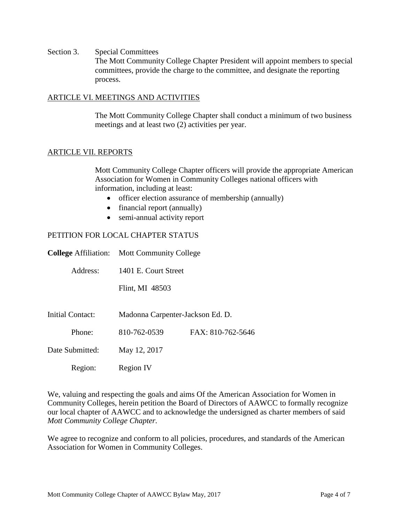Section 3. Special Committees The Mott Community College Chapter President will appoint members to special committees, provide the charge to the committee, and designate the reporting process.

#### ARTICLE VI. MEETINGS AND ACTIVITIES

The Mott Community College Chapter shall conduct a minimum of two business meetings and at least two (2) activities per year.

#### ARTICLE VII. REPORTS

Mott Community College Chapter officers will provide the appropriate American Association for Women in Community Colleges national officers with information, including at least:

- officer election assurance of membership (annually)
- financial report (annually)
- semi-annual activity report

## PETITION FOR LOCAL CHAPTER STATUS

|                  | <b>College Affiliation:</b> Mott Community College |                   |  |
|------------------|----------------------------------------------------|-------------------|--|
| Address:         | 1401 E. Court Street                               |                   |  |
|                  | Flint, MI 48503                                    |                   |  |
| Initial Contact: | Madonna Carpenter-Jackson Ed. D.                   |                   |  |
| Phone:           | 810-762-0539                                       | FAX: 810-762-5646 |  |
| Date Submitted:  | May 12, 2017                                       |                   |  |
| Region:          | <b>Region IV</b>                                   |                   |  |

We, valuing and respecting the goals and aims Of the American Association for Women in Community Colleges, herein petition the Board of Directors of AAWCC to formally recognize our local chapter of AAWCC and to acknowledge the undersigned as charter members of said *Mott Community College Chapter.*

We agree to recognize and conform to all policies, procedures, and standards of the American Association for Women in Community Colleges.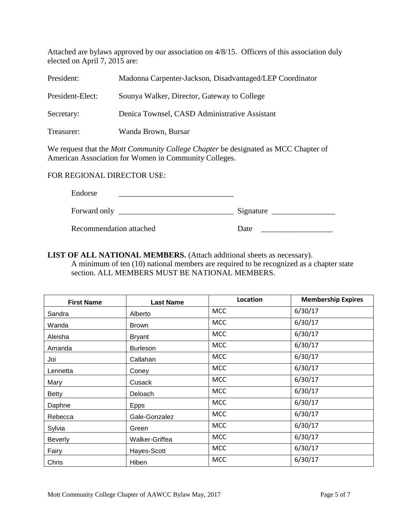Attached are bylaws approved by our association on 4/8/15. Officers of this association duly elected on April 7, 2015 are:

| President:                                                                               | Madonna Carpenter-Jackson, Disadvantaged/LEP Coordinator |  |  |
|------------------------------------------------------------------------------------------|----------------------------------------------------------|--|--|
| President-Elect:                                                                         | Sounya Walker, Director, Gateway to College              |  |  |
| Secretary:                                                                               | Denica Townsel, CASD Administrative Assistant            |  |  |
| Treasurer:                                                                               | Wanda Brown, Bursar                                      |  |  |
| We request that the <i>Mott Community College Chapter</i> be designated as MCC Chapter c |                                                          |  |  |

We request that the *Mott Community College Chapter* be designated as MCC Chapter of American Association for Women in Community Colleges.

# FOR REGIONAL DIRECTOR USE:

Endorse

| Forward only | Signature                |
|--------------|--------------------------|
| –            | $\overline{\phantom{a}}$ |

Recommendation attached Date Date Date

**LIST OF ALL NATIONAL MEMBERS.** (Attach additional sheets as necessary). A minimum of ten (10) national members are required to be recognized as a chapter state section. ALL MEMBERS MUST BE NATIONAL MEMBERS.

| <b>First Name</b> | <b>Last Name</b> | <b>Location</b> | <b>Membership Expires</b> |
|-------------------|------------------|-----------------|---------------------------|
| Sandra            | Alberto          | <b>MCC</b>      | 6/30/17                   |
| Wanda             | <b>Brown</b>     | <b>MCC</b>      | 6/30/17                   |
| Aleisha           | <b>Bryant</b>    | <b>MCC</b>      | 6/30/17                   |
| Amanda            | <b>Burleson</b>  | <b>MCC</b>      | 6/30/17                   |
| Joi               | Callahan         | <b>MCC</b>      | 6/30/17                   |
| Lennetta          | Coney            | <b>MCC</b>      | 6/30/17                   |
| Mary              | Cusack           | <b>MCC</b>      | 6/30/17                   |
| <b>Betty</b>      | Deloach          | <b>MCC</b>      | 6/30/17                   |
| Daphne            | <b>Epps</b>      | <b>MCC</b>      | 6/30/17                   |
| Rebecca           | Gale-Gonzalez    | <b>MCC</b>      | 6/30/17                   |
| Sylvia            | Green            | <b>MCC</b>      | 6/30/17                   |
| <b>Beverly</b>    | Walker-Griffea   | <b>MCC</b>      | 6/30/17                   |
| Fairy             | Hayes-Scott      | <b>MCC</b>      | 6/30/17                   |
| Chris             | Hiben            | <b>MCC</b>      | 6/30/17                   |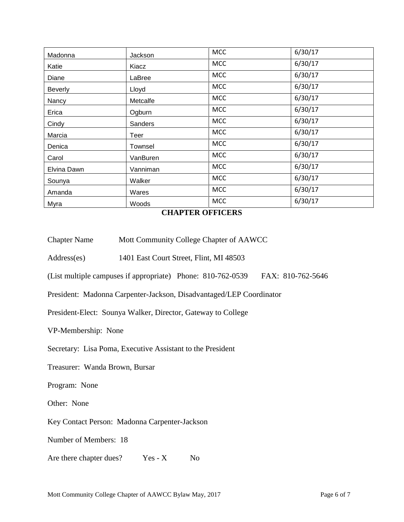| Madonna        | Jackson  | <b>MCC</b> | 6/30/17 |
|----------------|----------|------------|---------|
| Katie          | Kiacz    | <b>MCC</b> | 6/30/17 |
| Diane          | LaBree   | <b>MCC</b> | 6/30/17 |
| <b>Beverly</b> | Lloyd    | <b>MCC</b> | 6/30/17 |
| Nancy          | Metcalfe | <b>MCC</b> | 6/30/17 |
| Erica          | Ogburn   | <b>MCC</b> | 6/30/17 |
| Cindy          | Sanders  | <b>MCC</b> | 6/30/17 |
| Marcia         | Teer     | <b>MCC</b> | 6/30/17 |
| Denica         | Townsel  | <b>MCC</b> | 6/30/17 |
| Carol          | VanBuren | <b>MCC</b> | 6/30/17 |
| Elvina Dawn    | Vanniman | <b>MCC</b> | 6/30/17 |
| Sounya         | Walker   | <b>MCC</b> | 6/30/17 |
| Amanda         | Wares    | <b>MCC</b> | 6/30/17 |
| Myra           | Woods    | <b>MCC</b> | 6/30/17 |

**CHAPTER OFFICERS**

- Chapter Name Mott Community College Chapter of AAWCC
- Address(es) 1401 East Court Street, Flint, MI 48503
- (List multiple campuses if appropriate) Phone: 810-762-0539 FAX: 810-762-5646

President: Madonna Carpenter-Jackson, Disadvantaged/LEP Coordinator

President-Elect: Sounya Walker, Director, Gateway to College

VP-Membership: None

Secretary: Lisa Poma, Executive Assistant to the President

Treasurer: Wanda Brown, Bursar

Program: None

Other: None

Key Contact Person: Madonna Carpenter-Jackson

Number of Members: 18

Are there chapter dues? Yes - X No